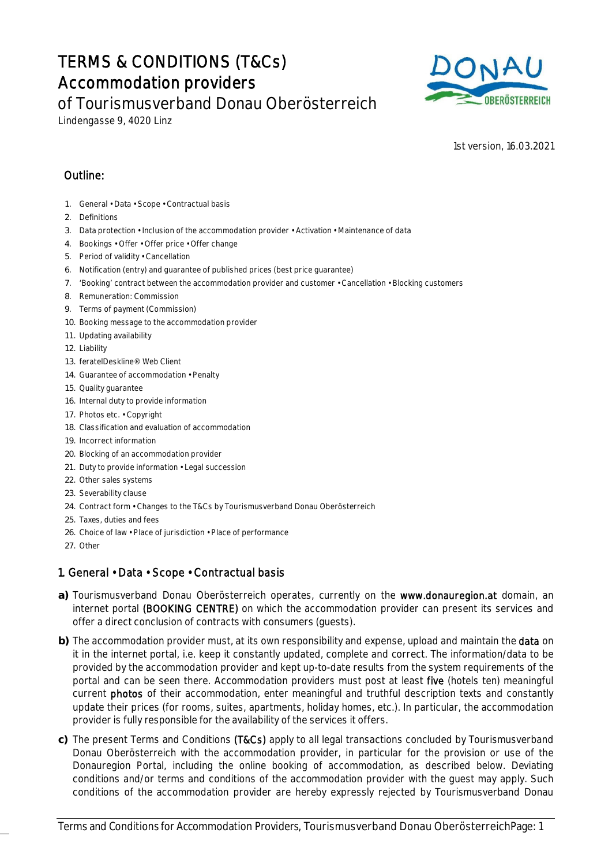# TERMS & CONDITIONS (T&Cs) Accommodation providers



of Tourismusverband Donau Oberösterreich

Lindengasse 9, 4020 Linz

1st version, 16.03.2021

# Outline:

- 1. General Data Scope Contractual basis
- 2. Definitions
- 3. Data protection Inclusion of the accommodation provider Activation Maintenance of data
- 4. Bookings Offer Offer price Offer change
- 5. Period of validity Cancellation
- 6. Notification (entry) and guarantee of published prices (best price guarantee)
- 7. 'Booking' contract between the accommodation provider and customer Cancellation Blocking customers
- 8. Remuneration: Commission
- 9. Terms of payment (Commission)
- 10. Booking message to the accommodation provider
- 11. Updating availability
- 12. Liability
- 13. feratelDeskline® Web Client
- 14. Guarantee of accommodation Penalty
- 15. Quality guarantee
- 16. Internal duty to provide information
- 17. Photos etc. Copyright
- 18. Classification and evaluation of accommodation
- 19. Incorrect information
- 20. Blocking of an accommodation provider
- 21. Duty to provide information Legal succession
- 22. Other sales systems
- 23. Severability clause
- 24. Contract form Changes to the T&Cs by Tourismusverband Donau Oberösterreich
- 25. Taxes, duties and fees
- 26. Choice of law Place of jurisdiction Place of performance
- 27. Other

# 1. General • Data • Scope • Contractual basis

- **a)** Tourismusverband Donau Oberösterreich operates, currently on the www.donauregion.at domain, an internet portal (BOOKING CENTRE) on which the accommodation provider can present its services and offer a direct conclusion of contracts with consumers (guests).
- **b)** The accommodation provider must, at its own responsibility and expense, upload and maintain the data on it in the internet portal, i.e. keep it constantly updated, complete and correct. The information/data to be provided by the accommodation provider and kept up-to-date results from the system requirements of the portal and can be seen there. Accommodation providers must post at least five (hotels ten) meaningful current photos of their accommodation, enter meaningful and truthful description texts and constantly update their prices (for rooms, suites, apartments, holiday homes, etc.). In particular, the accommodation provider is fully responsible for the availability of the services it offers.
- **c)** The present Terms and Conditions (T&Cs) apply to all legal transactions concluded by Tourismusverband Donau Oberösterreich with the accommodation provider, in particular for the provision or use of the Donauregion Portal, including the online booking of accommodation, as described below. Deviating conditions and/or terms and conditions of the accommodation provider with the guest may apply. Such conditions of the accommodation provider are hereby expressly rejected by Tourismusverband Donau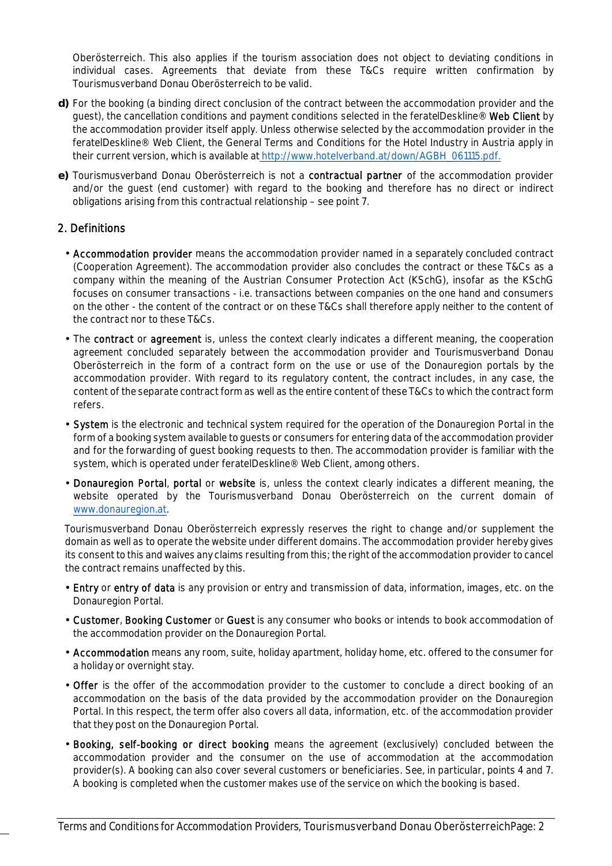Oberösterreich. This also applies if the tourism association does not object to deviating conditions in individual cases. Agreements that deviate from these T&Cs require written confirmation by Tourismusverband Donau Oberösterreich to be valid.

- **d)** For the booking (a binding direct conclusion of the contract between the accommodation provider and the guest), the cancellation conditions and payment conditions selected in the feratelDeskline® Web Client by the accommodation provider itself apply. Unless otherwise selected by the accommodation provider in the feratelDeskline® Web Client, the General Terms and Conditions for the Hotel Industry in Austria apply in their current version, which is available at http://www.hotelverband.at/down/AGBH\_061115.pdf.
- **e)** Tourismusverband Donau Oberösterreich is not a contractual partner of the accommodation provider and/or the guest (end customer) with regard to the booking and therefore has no direct or indirect obligations arising from this contractual relationship – see point 7.

#### 2. Definitions

- Accommodation provider means the accommodation provider named in a separately concluded contract (Cooperation Agreement). The accommodation provider also concludes the contract or these T&Cs as a company within the meaning of the Austrian Consumer Protection Act (KSchG), insofar as the KSchG focuses on consumer transactions - i.e. transactions between companies on the one hand and consumers on the other - the content of the contract or on these T&Cs shall therefore apply neither to the content of the contract nor to these T&Cs.
- The contract or agreement is, unless the context clearly indicates a different meaning, the cooperation agreement concluded separately between the accommodation provider and Tourismusverband Donau Oberösterreich in the form of a contract form on the use or use of the Donauregion portals by the accommodation provider. With regard to its regulatory content, the contract includes, in any case, the content of the separate contract form as well as the entire content of these T&Cs to which the contract form refers.
- System is the electronic and technical system required for the operation of the Donauregion Portal in the form of a booking system available to guests or consumers for entering data of the accommodation provider and for the forwarding of guest booking requests to then. The accommodation provider is familiar with the system, which is operated under feratelDeskline® Web Client, among others.
- Donauregion Portal, portal or website is, unless the context clearly indicates a different meaning, the website operated by the Tourismusverband Donau Oberösterreich on the current domain of www.donauregion.at.

Tourismusverband Donau Oberösterreich expressly reserves the right to change and/or supplement the domain as well as to operate the website under different domains. The accommodation provider hereby gives its consent to this and waives any claims resulting from this; the right of the accommodation provider to cancel the contract remains unaffected by this.

- Entry or entry of data is any provision or entry and transmission of data, information, images, etc. on the Donauregion Portal.
- Customer, Booking Customer or Guest is any consumer who books or intends to book accommodation of the accommodation provider on the Donauregion Portal.
- Accommodation means any room, suite, holiday apartment, holiday home, etc. offered to the consumer for a holiday or overnight stay.
- Offer is the offer of the accommodation provider to the customer to conclude a direct booking of an accommodation on the basis of the data provided by the accommodation provider on the Donauregion Portal. In this respect, the term offer also covers all data, information, etc. of the accommodation provider that they post on the Donauregion Portal.
- Booking, self-booking or direct booking means the agreement (exclusively) concluded between the accommodation provider and the consumer on the use of accommodation at the accommodation provider(s). A booking can also cover several customers or beneficiaries. See, in particular, points 4 and 7. A booking is completed when the customer makes use of the service on which the booking is based.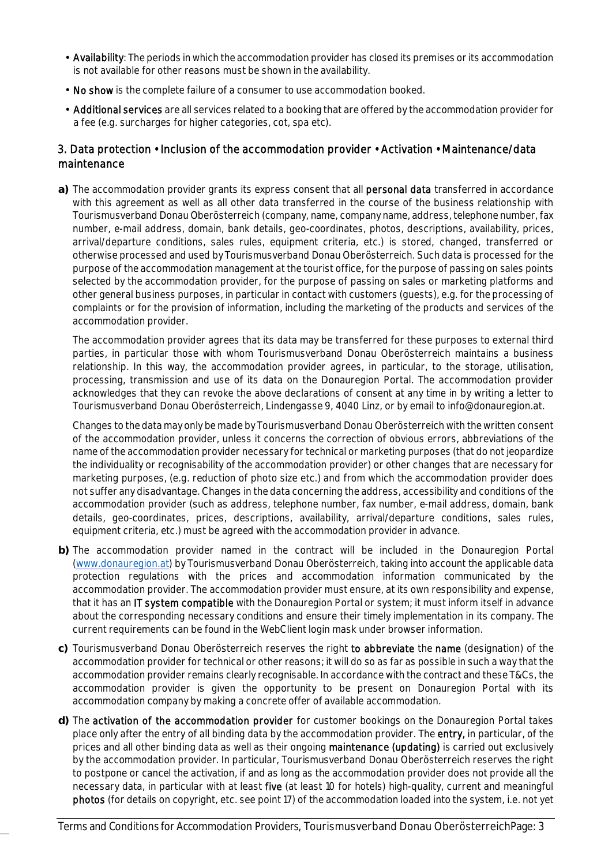- Availability: The periods in which the accommodation provider has closed its premises or its accommodation is not available for other reasons must be shown in the availability.
- No show is the complete failure of a consumer to use accommodation booked.
- Additional services are all services related to a booking that are offered by the accommodation provider for a fee (e.g. surcharges for higher categories, cot, spa etc).

## 3. Data protection • Inclusion of the accommodation provider • Activation • Maintenance/data maintenance

**a)** The accommodation provider grants its express consent that all personal data transferred in accordance with this agreement as well as all other data transferred in the course of the business relationship with Tourismusverband Donau Oberösterreich (company, name, company name, address, telephone number, fax number, e-mail address, domain, bank details, geo-coordinates, photos, descriptions, availability, prices, arrival/departure conditions, sales rules, equipment criteria, etc.) is stored, changed, transferred or otherwise processed and used by Tourismusverband Donau Oberösterreich. Such data is processed for the purpose of the accommodation management at the tourist office, for the purpose of passing on sales points selected by the accommodation provider, for the purpose of passing on sales or marketing platforms and other general business purposes, in particular in contact with customers (guests), e.g. for the processing of complaints or for the provision of information, including the marketing of the products and services of the accommodation provider.

The accommodation provider agrees that its data may be transferred for these purposes to external third parties, in particular those with whom Tourismusverband Donau Oberösterreich maintains a business relationship. In this way, the accommodation provider agrees, in particular, to the storage, utilisation, processing, transmission and use of its data on the Donauregion Portal. The accommodation provider acknowledges that they can revoke the above declarations of consent at any time in by writing a letter to Tourismusverband Donau Oberösterreich, Lindengasse 9, 4040 Linz, or by email to info@donauregion.at.

Changes to the data may only be made by Tourismusverband Donau Oberösterreich with the written consent of the accommodation provider, unless it concerns the correction of obvious errors, abbreviations of the name of the accommodation provider necessary for technical or marketing purposes (that do not jeopardize the individuality or recognisability of the accommodation provider) or other changes that are necessary for marketing purposes, (e.g. reduction of photo size etc.) and from which the accommodation provider does not suffer any disadvantage. Changes in the data concerning the address, accessibility and conditions of the accommodation provider (such as address, telephone number, fax number, e-mail address, domain, bank details, geo-coordinates, prices, descriptions, availability, arrival/departure conditions, sales rules, equipment criteria, etc.) must be agreed with the accommodation provider in advance.

- **b)** The accommodation provider named in the contract will be included in the Donauregion Portal (www.donauregion.at) by Tourismusverband Donau Oberösterreich, taking into account the applicable data protection regulations with the prices and accommodation information communicated by the accommodation provider. The accommodation provider must ensure, at its own responsibility and expense, that it has an IT system compatible with the Donauregion Portal or system; it must inform itself in advance about the corresponding necessary conditions and ensure their timely implementation in its company. The current requirements can be found in the WebClient login mask under browser information.
- **c)** Tourismusverband Donau Oberösterreich reserves the right to abbreviate the name (designation) of the accommodation provider for technical or other reasons; it will do so as far as possible in such a way that the accommodation provider remains clearly recognisable. In accordance with the contract and these T&Cs, the accommodation provider is given the opportunity to be present on Donauregion Portal with its accommodation company by making a concrete offer of available accommodation.
- **d)** The activation of the accommodation provider for customer bookings on the Donauregion Portal takes place only after the entry of all binding data by the accommodation provider. The entry, in particular, of the prices and all other binding data as well as their ongoing maintenance (updating) is carried out exclusively by the accommodation provider. In particular, Tourismusverband Donau Oberösterreich reserves the right to postpone or cancel the activation, if and as long as the accommodation provider does not provide all the necessary data, in particular with at least five (at least 10 for hotels) high-quality, current and meaningful photos (for details on copyright, etc. see point 17) of the accommodation loaded into the system, i.e. not yet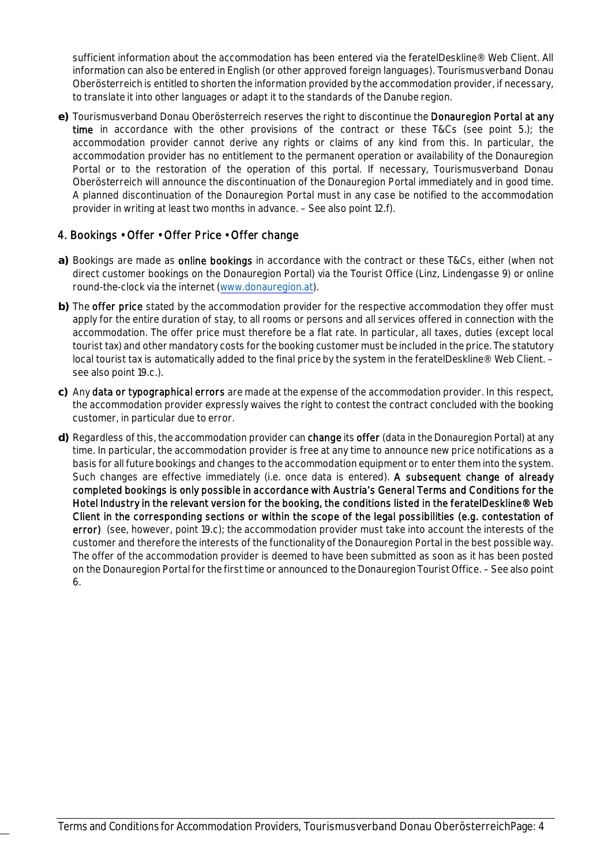sufficient information about the accommodation has been entered via the feratelDeskline® Web Client. All information can also be entered in English (or other approved foreign languages). Tourismusverband Donau Oberösterreich is entitled to shorten the information provided by the accommodation provider, if necessary, to translate it into other languages or adapt it to the standards of the Danube region.

**e)** Tourismusverband Donau Oberösterreich reserves the right to discontinue the Donauregion Portal at any time in accordance with the other provisions of the contract or these T&Cs (see point 5.); the accommodation provider cannot derive any rights or claims of any kind from this. In particular, the accommodation provider has no entitlement to the permanent operation or availability of the Donauregion Portal or to the restoration of the operation of this portal. If necessary, Tourismusverband Donau Oberösterreich will announce the discontinuation of the Donauregion Portal immediately and in good time. A planned discontinuation of the Donauregion Portal must in any case be notified to the accommodation provider in writing at least two months in advance. – See also point 12.f).

## 4. Bookings • Offer • Offer Price • Offer change

- **a)** Bookings are made as online bookings in accordance with the contract or these T&Cs, either (when not direct customer bookings on the Donauregion Portal) via the Tourist Office (Linz, Lindengasse 9) or online round-the-clock via the internet (www.donauregion.at).
- **b)** The offer price stated by the accommodation provider for the respective accommodation they offer must apply for the entire duration of stay, to all rooms or persons and all services offered in connection with the accommodation. The offer price must therefore be a flat rate. In particular, all taxes, duties (except local tourist tax) and other mandatory costs for the booking customer must be included in the price. The statutory local tourist tax is automatically added to the final price by the system in the feratelDeskline® Web Client. see also point 19.c.).
- **c)** Any data or typographical errors are made at the expense of the accommodation provider. In this respect, the accommodation provider expressly waives the right to contest the contract concluded with the booking customer, in particular due to error.
- **d)** Regardless of this, the accommodation provider can change its offer (data in the Donauregion Portal) at any time. In particular, the accommodation provider is free at any time to announce new price notifications as a basis for all future bookings and changes to the accommodation equipment or to enter them into the system. Such changes are effective immediately (i.e. once data is entered). A subsequent change of already completed bookings is only possible in accordance with Austria's General Terms and Conditions for the Hotel Industry in the relevant version for the booking, the conditions listed in the feratelDeskline® Web Client in the corresponding sections or within the scope of the legal possibilities (e.g. contestation of error) (see, however, point 19.c); the accommodation provider must take into account the interests of the customer and therefore the interests of the functionality of the Donauregion Portal in the best possible way. The offer of the accommodation provider is deemed to have been submitted as soon as it has been posted on the Donauregion Portal for the first time or announced to the Donauregion Tourist Office. – See also point 6.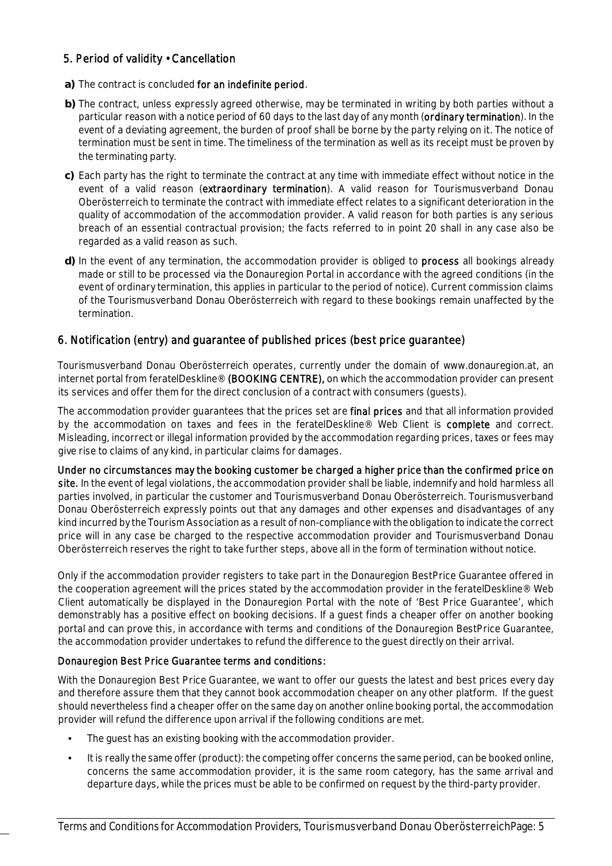## 5. Period of validity • Cancellation

- **a)** The contract is concluded for an indefinite period.
- **b)** The contract, unless expressly agreed otherwise, may be terminated in writing by both parties without a particular reason with a notice period of 60 days to the last day of any month (ordinary termination). In the event of a deviating agreement, the burden of proof shall be borne by the party relying on it. The notice of termination must be sent in time. The timeliness of the termination as well as its receipt must be proven by the terminating party.
- **c)** Each party has the right to terminate the contract at any time with immediate effect without notice in the event of a valid reason (extraordinary termination). A valid reason for Tourismusverband Donau Oberösterreich to terminate the contract with immediate effect relates to a significant deterioration in the quality of accommodation of the accommodation provider. A valid reason for both parties is any serious breach of an essential contractual provision; the facts referred to in point 20 shall in any case also be regarded as a valid reason as such.
- **d)** In the event of any termination, the accommodation provider is obliged to process all bookings already made or still to be processed via the Donauregion Portal in accordance with the agreed conditions (in the event of ordinary termination, this applies in particular to the period of notice). Current commission claims of the Tourismusverband Donau Oberösterreich with regard to these bookings remain unaffected by the termination.

## 6. Notification (entry) and guarantee of published prices (best price guarantee)

Tourismusverband Donau Oberösterreich operates, currently under the domain of www.donauregion.at, an internet portal from feratelDeskline® (BOOKING CENTRE), on which the accommodation provider can present its services and offer them for the direct conclusion of a contract with consumers (guests).

The accommodation provider guarantees that the prices set are final prices and that all information provided by the accommodation on taxes and fees in the feratelDeskline® Web Client is complete and correct. Misleading, incorrect or illegal information provided by the accommodation regarding prices, taxes or fees may give rise to claims of any kind, in particular claims for damages.

Under no circumstances may the booking customer be charged a higher price than the confirmed price on site. In the event of legal violations, the accommodation provider shall be liable, indemnify and hold harmless all parties involved, in particular the customer and Tourismusverband Donau Oberösterreich. Tourismusverband Donau Oberösterreich expressly points out that any damages and other expenses and disadvantages of any kind incurred by the Tourism Association as a result of non-compliance with the obligation to indicate the correct price will in any case be charged to the respective accommodation provider and Tourismusverband Donau Oberösterreich reserves the right to take further steps, above all in the form of termination without notice.

Only if the accommodation provider registers to take part in the Donauregion BestPrice Guarantee offered in the cooperation agreement will the prices stated by the accommodation provider in the feratelDeskline® Web Client automatically be displayed in the Donauregion Portal with the note of 'Best Price Guarantee', which demonstrably has a positive effect on booking decisions. If a guest finds a cheaper offer on another booking portal and can prove this, in accordance with terms and conditions of the Donauregion BestPrice Guarantee, the accommodation provider undertakes to refund the difference to the guest directly on their arrival.

#### Donauregion Best Price Guarantee terms and conditions:

With the Donauregion Best Price Guarantee, we want to offer our guests the latest and best prices every day and therefore assure them that they cannot book accommodation cheaper on any other platform. If the guest should nevertheless find a cheaper offer on the same day on another online booking portal, the accommodation provider will refund the difference upon arrival if the following conditions are met.

- The quest has an existing booking with the accommodation provider.
- It is really the same offer (product): the competing offer concerns the same period, can be booked online, concerns the same accommodation provider, it is the same room category, has the same arrival and departure days, while the prices must be able to be confirmed on request by the third-party provider.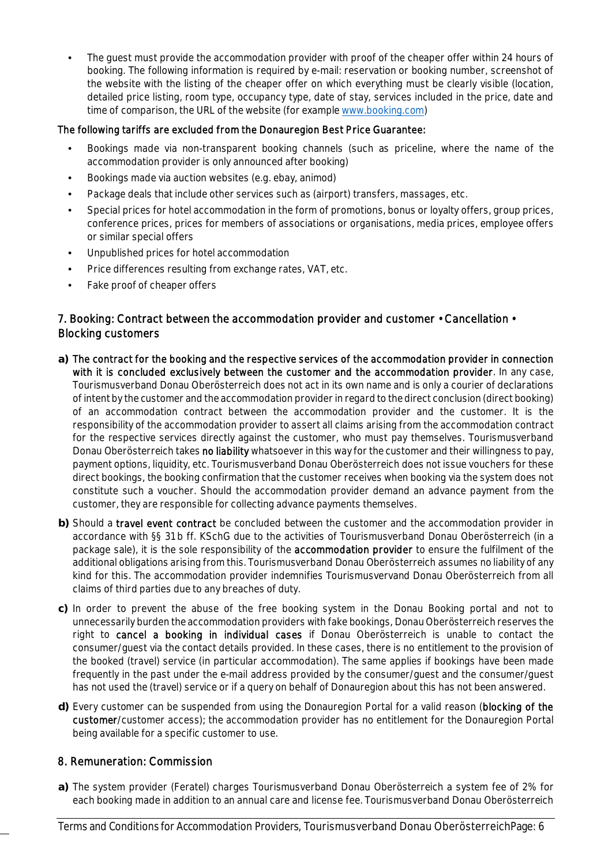The quest must provide the accommodation provider with proof of the cheaper offer within 24 hours of booking. The following information is required by e-mail: reservation or booking number, screenshot of the website with the listing of the cheaper offer on which everything must be clearly visible (location, detailed price listing, room type, occupancy type, date of stay, services included in the price, date and time of comparison, the URL of the website (for example www.booking.com)

#### The following tariffs are excluded from the Donauregion Best Price Guarantee:

- Bookings made via non-transparent booking channels (such as priceline, where the name of the accommodation provider is only announced after booking)
- Bookings made via auction websites (e.g. ebay, animod)
- Package deals that include other services such as (airport) transfers, massages, etc.
- Special prices for hotel accommodation in the form of promotions, bonus or loyalty offers, group prices, conference prices, prices for members of associations or organisations, media prices, employee offers or similar special offers
- Unpublished prices for hotel accommodation
- Price differences resulting from exchange rates, VAT, etc.
- Fake proof of cheaper offers

## 7. Booking: Contract between the accommodation provider and customer • Cancellation • Blocking customers

- **a)** The contract for the booking and the respective services of the accommodation provider in connection with it is concluded exclusively between the customer and the accommodation provider. In any case, Tourismusverband Donau Oberösterreich does not act in its own name and is only a courier of declarations of intent by the customer and the accommodation provider in regard to the direct conclusion (direct booking) of an accommodation contract between the accommodation provider and the customer. It is the responsibility of the accommodation provider to assert all claims arising from the accommodation contract for the respective services directly against the customer, who must pay themselves. Tourismusverband Donau Oberösterreich takes no liability whatsoever in this way for the customer and their willingness to pay, payment options, liquidity, etc. Tourismusverband Donau Oberösterreich does not issue vouchers for these direct bookings, the booking confirmation that the customer receives when booking via the system does not constitute such a voucher. Should the accommodation provider demand an advance payment from the customer, they are responsible for collecting advance payments themselves.
- **b)** Should a travel event contract be concluded between the customer and the accommodation provider in accordance with §§ 31 b ff. KSchG due to the activities of Tourismusverband Donau Oberösterreich (in a package sale), it is the sole responsibility of the **accommodation provider** to ensure the fulfilment of the additional obligations arising from this. Tourismusverband Donau Oberösterreich assumes no liability of any kind for this. The accommodation provider indemnifies Tourismusvervand Donau Oberösterreich from all claims of third parties due to any breaches of duty.
- **c)** In order to prevent the abuse of the free booking system in the Donau Booking portal and not to unnecessarily burden the accommodation providers with fake bookings, Donau Oberösterreich reserves the right to cancel a booking in individual cases if Donau Oberösterreich is unable to contact the consumer/guest via the contact details provided. In these cases, there is no entitlement to the provision of the booked (travel) service (in particular accommodation). The same applies if bookings have been made frequently in the past under the e-mail address provided by the consumer/guest and the consumer/guest has not used the (travel) service or if a query on behalf of Donauregion about this has not been answered.
- **d)** Every customer can be suspended from using the Donauregion Portal for a valid reason (blocking of the customer/customer access); the accommodation provider has no entitlement for the Donauregion Portal being available for a specific customer to use.

#### 8. Remuneration: Commission

**a)** The system provider (Feratel) charges Tourismusverband Donau Oberösterreich a system fee of 2% for each booking made in addition to an annual care and license fee. Tourismusverband Donau Oberösterreich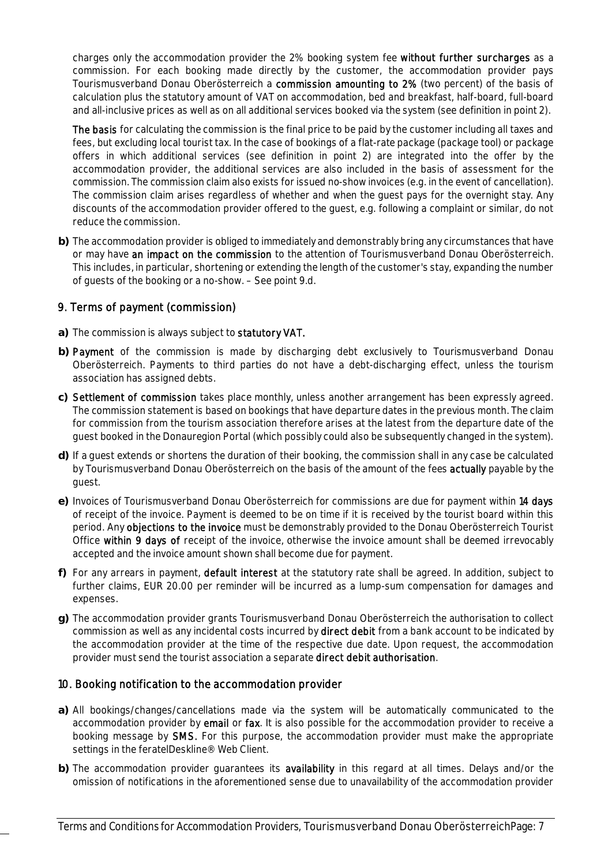charges only the accommodation provider the 2% booking system fee without further surcharges as a commission. For each booking made directly by the customer, the accommodation provider pays Tourismusverband Donau Oberösterreich a commission amounting to 2% (two percent) of the basis of calculation plus the statutory amount of VAT on accommodation, bed and breakfast, half-board, full-board and all-inclusive prices as well as on all additional services booked via the system (see definition in point 2).

The basis for calculating the commission is the final price to be paid by the customer including all taxes and fees, but excluding local tourist tax. In the case of bookings of a flat-rate package (package tool) or package offers in which additional services (see definition in point 2) are integrated into the offer by the accommodation provider, the additional services are also included in the basis of assessment for the commission. The commission claim also exists for issued no-show invoices (e.g. in the event of cancellation). The commission claim arises regardless of whether and when the guest pays for the overnight stay. Any discounts of the accommodation provider offered to the guest, e.g. following a complaint or similar, do not reduce the commission.

**b)** The accommodation provider is obliged to immediately and demonstrably bring any circumstances that have or may have an impact on the commission to the attention of Tourismusverband Donau Oberösterreich. This includes, in particular, shortening or extending the length of the customer's stay, expanding the number of guests of the booking or a no-show. – See point 9.d.

## 9. Terms of payment (commission)

- **a)** The commission is always subject to statutory VAT.
- **b)** Payment of the commission is made by discharging debt exclusively to Tourismusverband Donau Oberösterreich. Payments to third parties do not have a debt-discharging effect, unless the tourism association has assigned debts.
- **c)** Settlement of commission takes place monthly, unless another arrangement has been expressly agreed. The commission statement is based on bookings that have departure dates in the previous month. The claim for commission from the tourism association therefore arises at the latest from the departure date of the guest booked in the Donauregion Portal (which possibly could also be subsequently changed in the system).
- **d)** If a guest extends or shortens the duration of their booking, the commission shall in any case be calculated by Tourismusverband Donau Oberösterreich on the basis of the amount of the fees **actually** payable by the guest.
- **e)** Invoices of Tourismusverband Donau Oberösterreich for commissions are due for payment within 14 days of receipt of the invoice. Payment is deemed to be on time if it is received by the tourist board within this period. Any objections to the invoice must be demonstrably provided to the Donau Oberösterreich Tourist Office within 9 days of receipt of the invoice, otherwise the invoice amount shall be deemed irrevocably accepted and the invoice amount shown shall become due for payment.
- **f)** For any arrears in payment, default interest at the statutory rate shall be agreed. In addition, subject to further claims, EUR 20.00 per reminder will be incurred as a lump-sum compensation for damages and expenses.
- **g)** The accommodation provider grants Tourismusverband Donau Oberösterreich the authorisation to collect commission as well as any incidental costs incurred by **direct debit** from a bank account to be indicated by the accommodation provider at the time of the respective due date. Upon request, the accommodation provider must send the tourist association a separate direct debit authorisation.

## 10. Booking notification to the accommodation provider

- **a)** All bookings/changes/cancellations made via the system will be automatically communicated to the accommodation provider by email or fax. It is also possible for the accommodation provider to receive a booking message by SMS. For this purpose, the accommodation provider must make the appropriate settings in the feratelDeskline® Web Client.
- **b)** The accommodation provider guarantees its availability in this regard at all times. Delays and/or the omission of notifications in the aforementioned sense due to unavailability of the accommodation provider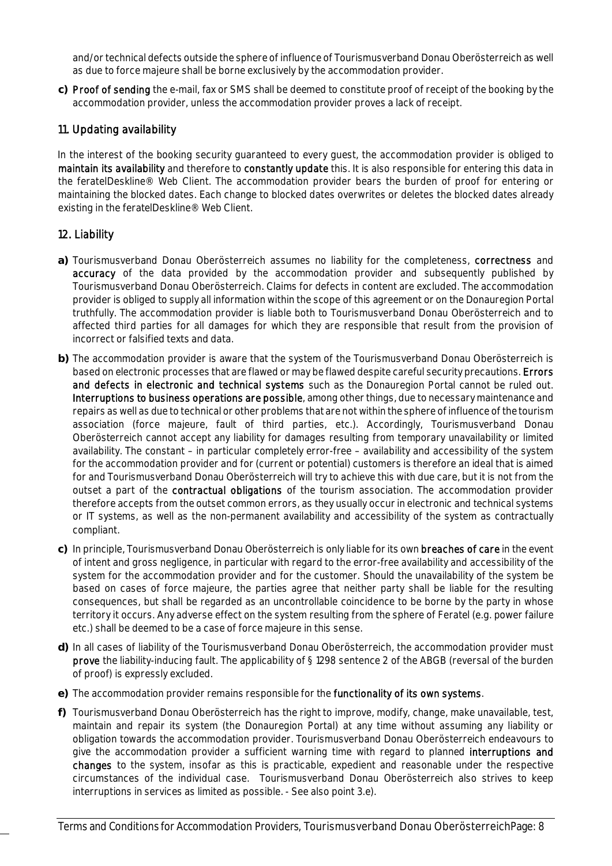and/or technical defects outside the sphere of influence of Tourismusverband Donau Oberösterreich as well as due to force majeure shall be borne exclusively by the accommodation provider.

**c)** Proof of sending the e-mail, fax or SMS shall be deemed to constitute proof of receipt of the booking by the accommodation provider, unless the accommodation provider proves a lack of receipt.

## 11. Updating availability

In the interest of the booking security guaranteed to every guest, the accommodation provider is obliged to maintain its availability and therefore to constantly update this. It is also responsible for entering this data in the feratelDeskline® Web Client. The accommodation provider bears the burden of proof for entering or maintaining the blocked dates. Each change to blocked dates overwrites or deletes the blocked dates already existing in the feratelDeskline® Web Client.

#### 12. Liability

- **a)** Tourismusverband Donau Oberösterreich assumes no liability for the completeness, correctness and accuracy of the data provided by the accommodation provider and subsequently published by Tourismusverband Donau Oberösterreich. Claims for defects in content are excluded. The accommodation provider is obliged to supply all information within the scope of this agreement or on the Donauregion Portal truthfully. The accommodation provider is liable both to Tourismusverband Donau Oberösterreich and to affected third parties for all damages for which they are responsible that result from the provision of incorrect or falsified texts and data.
- **b)** The accommodation provider is aware that the system of the Tourismusverband Donau Oberösterreich is based on electronic processes that are flawed or may be flawed despite careful security precautions. Errors and defects in electronic and technical systems such as the Donauregion Portal cannot be ruled out. Interruptions to business operations are possible, among other things, due to necessary maintenance and repairs as well as due to technical or other problems that are not within the sphere of influence of the tourism association (force majeure, fault of third parties, etc.). Accordingly, Tourismusverband Donau Oberösterreich cannot accept any liability for damages resulting from temporary unavailability or limited availability. The constant – in particular completely error-free – availability and accessibility of the system for the accommodation provider and for (current or potential) customers is therefore an ideal that is aimed for and Tourismusverband Donau Oberösterreich will try to achieve this with due care, but it is not from the outset a part of the contractual obligations of the tourism association. The accommodation provider therefore accepts from the outset common errors, as they usually occur in electronic and technical systems or IT systems, as well as the non-permanent availability and accessibility of the system as contractually compliant.
- **c)** In principle, Tourismusverband Donau Oberösterreich is only liable for its own breaches of care in the event of intent and gross negligence, in particular with regard to the error-free availability and accessibility of the system for the accommodation provider and for the customer. Should the unavailability of the system be based on cases of force majeure, the parties agree that neither party shall be liable for the resulting consequences, but shall be regarded as an uncontrollable coincidence to be borne by the party in whose territory it occurs. Any adverse effect on the system resulting from the sphere of Feratel (e.g. power failure etc.) shall be deemed to be a case of force majeure in this sense.
- **d)** In all cases of liability of the Tourismusverband Donau Oberösterreich, the accommodation provider must prove the liability-inducing fault. The applicability of § 1298 sentence 2 of the ABGB (reversal of the burden of proof) is expressly excluded.
- **e)** The accommodation provider remains responsible for the functionality of its own systems.
- **f)** Tourismusverband Donau Oberösterreich has the right to improve, modify, change, make unavailable, test, maintain and repair its system (the Donauregion Portal) at any time without assuming any liability or obligation towards the accommodation provider. Tourismusverband Donau Oberösterreich endeavours to give the accommodation provider a sufficient warning time with regard to planned interruptions and changes to the system, insofar as this is practicable, expedient and reasonable under the respective circumstances of the individual case. Tourismusverband Donau Oberösterreich also strives to keep interruptions in services as limited as possible. - See also point 3.e).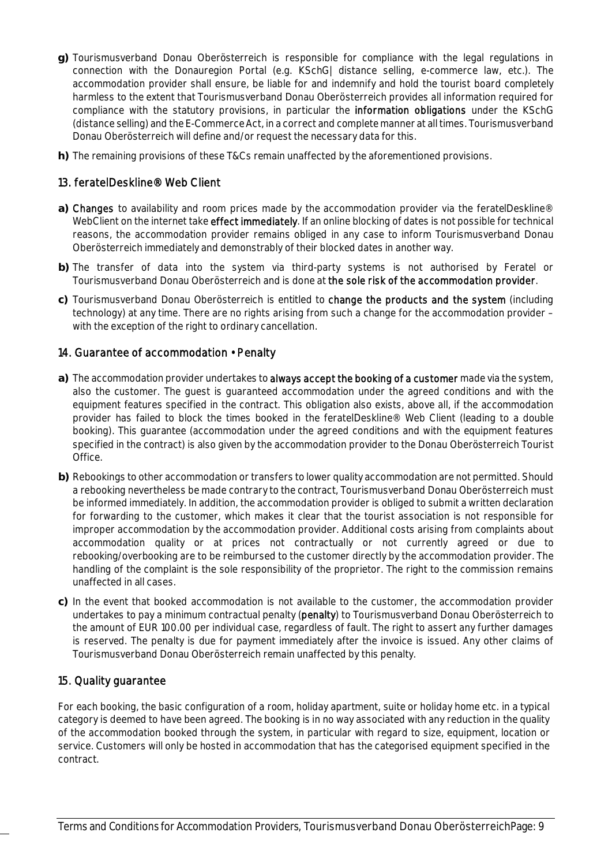- **g)** Tourismusverband Donau Oberösterreich is responsible for compliance with the legal regulations in connection with the Donauregion Portal (e.g. KSchG| distance selling, e-commerce law, etc.). The accommodation provider shall ensure, be liable for and indemnify and hold the tourist board completely harmless to the extent that Tourismusverband Donau Oberösterreich provides all information required for compliance with the statutory provisions, in particular the information obligations under the KSchG (distance selling) and the E-Commerce Act, in a correct and complete manner at all times. Tourismusverband Donau Oberösterreich will define and/or request the necessary data for this.
- **h)** The remaining provisions of these T&Cs remain unaffected by the aforementioned provisions.

## 13. feratelDeskline® Web Client

- **a)** Changes to availability and room prices made by the accommodation provider via the feratelDeskline® WebClient on the internet take effect immediately. If an online blocking of dates is not possible for technical reasons, the accommodation provider remains obliged in any case to inform Tourismusverband Donau Oberösterreich immediately and demonstrably of their blocked dates in another way.
- **b)** The transfer of data into the system via third-party systems is not authorised by Feratel or Tourismusverband Donau Oberösterreich and is done at the sole risk of the accommodation provider.
- **c)** Tourismusverband Donau Oberösterreich is entitled to change the products and the system (including technology) at any time. There are no rights arising from such a change for the accommodation provider – with the exception of the right to ordinary cancellation.

## 14. Guarantee of accommodation • Penalty

- **a)** The accommodation provider undertakes to always accept the booking of a customer made via the system, also the customer. The guest is guaranteed accommodation under the agreed conditions and with the equipment features specified in the contract. This obligation also exists, above all, if the accommodation provider has failed to block the times booked in the feratelDeskline® Web Client (leading to a double booking). This guarantee (accommodation under the agreed conditions and with the equipment features specified in the contract) is also given by the accommodation provider to the Donau Oberösterreich Tourist Office.
- **b)** Rebookings to other accommodation or transfers to lower quality accommodation are not permitted. Should a rebooking nevertheless be made contrary to the contract, Tourismusverband Donau Oberösterreich must be informed immediately. In addition, the accommodation provider is obliged to submit a written declaration for forwarding to the customer, which makes it clear that the tourist association is not responsible for improper accommodation by the accommodation provider. Additional costs arising from complaints about accommodation quality or at prices not contractually or not currently agreed or due to rebooking/overbooking are to be reimbursed to the customer directly by the accommodation provider. The handling of the complaint is the sole responsibility of the proprietor. The right to the commission remains unaffected in all cases.
- **c)** In the event that booked accommodation is not available to the customer, the accommodation provider undertakes to pay a minimum contractual penalty (penalty) to Tourismusverband Donau Oberösterreich to the amount of EUR 100.00 per individual case, regardless of fault. The right to assert any further damages is reserved. The penalty is due for payment immediately after the invoice is issued. Any other claims of Tourismusverband Donau Oberösterreich remain unaffected by this penalty.

#### 15. Quality guarantee

For each booking, the basic configuration of a room, holiday apartment, suite or holiday home etc. in a typical category is deemed to have been agreed. The booking is in no way associated with any reduction in the quality of the accommodation booked through the system, in particular with regard to size, equipment, location or service. Customers will only be hosted in accommodation that has the categorised equipment specified in the contract.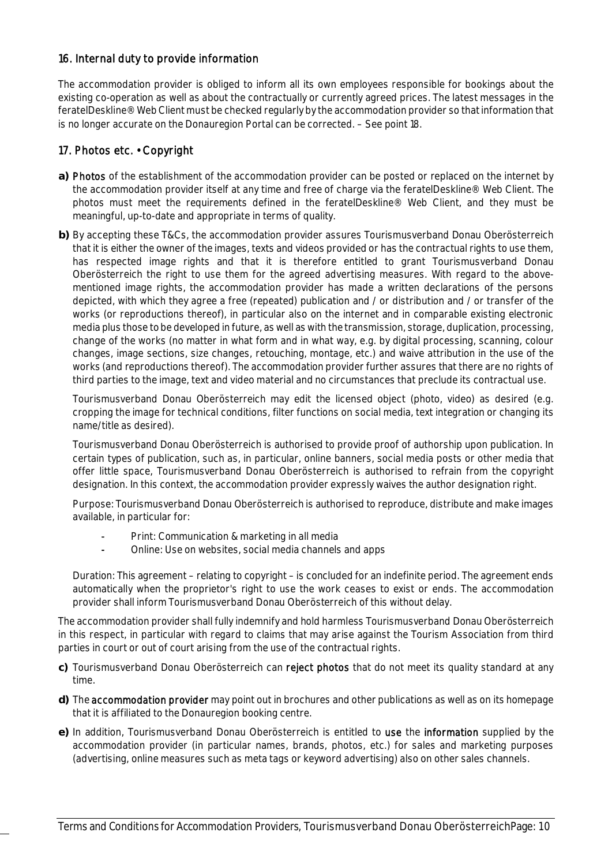## 16. Internal duty to provide information

The accommodation provider is obliged to inform all its own employees responsible for bookings about the existing co-operation as well as about the contractually or currently agreed prices. The latest messages in the feratelDeskline® Web Client must be checked regularly by the accommodation provider so that information that is no longer accurate on the Donauregion Portal can be corrected. – See point 18.

## 17. Photos etc. • Copyright

- **a)** Photos of the establishment of the accommodation provider can be posted or replaced on the internet by the accommodation provider itself at any time and free of charge via the feratelDeskline® Web Client. The photos must meet the requirements defined in the feratelDeskline® Web Client, and they must be meaningful, up-to-date and appropriate in terms of quality.
- **b)** By accepting these T&Cs, the accommodation provider assures Tourismusverband Donau Oberösterreich that it is either the owner of the images, texts and videos provided or has the contractual rights to use them, has respected image rights and that it is therefore entitled to grant Tourismusverband Donau Oberösterreich the right to use them for the agreed advertising measures. With regard to the abovementioned image rights, the accommodation provider has made a written declarations of the persons depicted, with which they agree a free (repeated) publication and / or distribution and / or transfer of the works (or reproductions thereof), in particular also on the internet and in comparable existing electronic media plus those to be developed in future, as well as with the transmission, storage, duplication, processing, change of the works (no matter in what form and in what way, e.g. by digital processing, scanning, colour changes, image sections, size changes, retouching, montage, etc.) and waive attribution in the use of the works (and reproductions thereof). The accommodation provider further assures that there are no rights of third parties to the image, text and video material and no circumstances that preclude its contractual use.

Tourismusverband Donau Oberösterreich may edit the licensed object (photo, video) as desired (e.g. cropping the image for technical conditions, filter functions on social media, text integration or changing its name/title as desired).

Tourismusverband Donau Oberösterreich is authorised to provide proof of authorship upon publication. In certain types of publication, such as, in particular, online banners, social media posts or other media that offer little space, Tourismusverband Donau Oberösterreich is authorised to refrain from the copyright designation. In this context, the accommodation provider expressly waives the author designation right.

Purpose: Tourismusverband Donau Oberösterreich is authorised to reproduce, distribute and make images available, in particular for:

- Print: Communication & marketing in all media
- Online: Use on websites, social media channels and apps

Duration: This agreement – relating to copyright – is concluded for an indefinite period. The agreement ends automatically when the proprietor's right to use the work ceases to exist or ends. The accommodation provider shall inform Tourismusverband Donau Oberösterreich of this without delay.

The accommodation provider shall fully indemnify and hold harmless Tourismusverband Donau Oberösterreich in this respect, in particular with regard to claims that may arise against the Tourism Association from third parties in court or out of court arising from the use of the contractual rights.

- **c)** Tourismusverband Donau Oberösterreich can reject photos that do not meet its quality standard at any time.
- **d)** The accommodation provider may point out in brochures and other publications as well as on its homepage that it is affiliated to the Donauregion booking centre.
- **e)** In addition, Tourismusverband Donau Oberösterreich is entitled to use the information supplied by the accommodation provider (in particular names, brands, photos, etc.) for sales and marketing purposes (advertising, online measures such as meta tags or keyword advertising) also on other sales channels.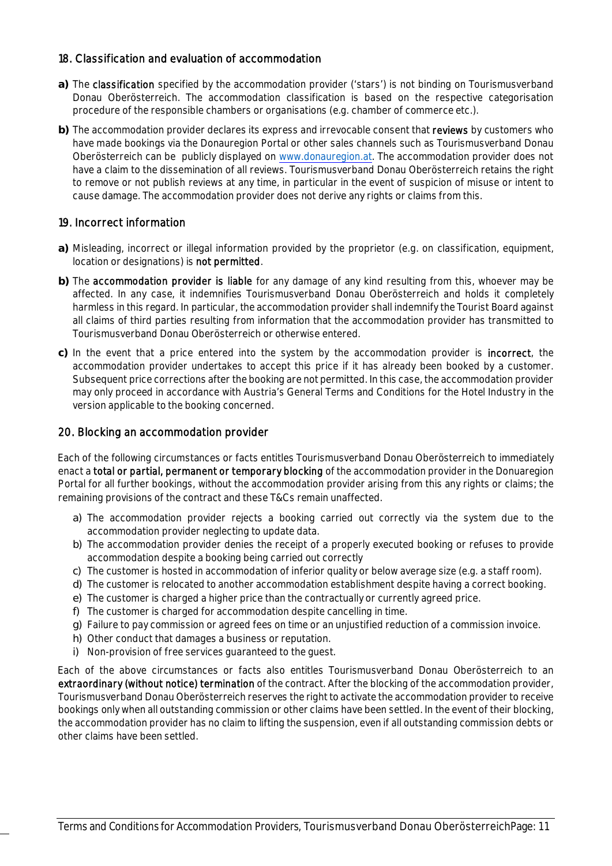#### 18. Classification and evaluation of accommodation

- **a)** The classification specified by the accommodation provider ('stars') is not binding on Tourismusverband Donau Oberösterreich. The accommodation classification is based on the respective categorisation procedure of the responsible chambers or organisations (e.g. chamber of commerce etc.).
- **b)** The accommodation provider declares its express and irrevocable consent that reviews by customers who have made bookings via the Donauregion Portal or other sales channels such as Tourismusverband Donau Oberösterreich can be publicly displayed on www.donauregion.at. The accommodation provider does not have a claim to the dissemination of all reviews. Tourismusverband Donau Oberösterreich retains the right to remove or not publish reviews at any time, in particular in the event of suspicion of misuse or intent to cause damage. The accommodation provider does not derive any rights or claims from this.

## 19. Incorrect information

- **a)** Misleading, incorrect or illegal information provided by the proprietor (e.g. on classification, equipment, location or designations) is not permitted.
- **b)** The accommodation provider is liable for any damage of any kind resulting from this, whoever may be affected. In any case, it indemnifies Tourismusverband Donau Oberösterreich and holds it completely harmless in this regard. In particular, the accommodation provider shall indemnify the Tourist Board against all claims of third parties resulting from information that the accommodation provider has transmitted to Tourismusverband Donau Oberösterreich or otherwise entered.
- **c)** In the event that a price entered into the system by the accommodation provider is incorrect, the accommodation provider undertakes to accept this price if it has already been booked by a customer. Subsequent price corrections after the booking are not permitted. In this case, the accommodation provider may only proceed in accordance with Austria's General Terms and Conditions for the Hotel Industry in the version applicable to the booking concerned.

## 20. Blocking an accommodation provider

Each of the following circumstances or facts entitles Tourismusverband Donau Oberösterreich to immediately enact a total or partial, permanent or temporary blocking of the accommodation provider in the Donuaregion Portal for all further bookings, without the accommodation provider arising from this any rights or claims; the remaining provisions of the contract and these T&Cs remain unaffected.

- a) The accommodation provider rejects a booking carried out correctly via the system due to the accommodation provider neglecting to update data.
- b) The accommodation provider denies the receipt of a properly executed booking or refuses to provide accommodation despite a booking being carried out correctly
- c) The customer is hosted in accommodation of inferior quality or below average size (e.g. a staff room).
- d) The customer is relocated to another accommodation establishment despite having a correct booking.
- e) The customer is charged a higher price than the contractually or currently agreed price.
- f) The customer is charged for accommodation despite cancelling in time.
- g) Failure to pay commission or agreed fees on time or an unjustified reduction of a commission invoice.
- h) Other conduct that damages a business or reputation.
- i) Non-provision of free services guaranteed to the guest.

Each of the above circumstances or facts also entitles Tourismusverband Donau Oberösterreich to an extraordinary (without notice) termination of the contract. After the blocking of the accommodation provider, Tourismusverband Donau Oberösterreich reserves the right to activate the accommodation provider to receive bookings only when all outstanding commission or other claims have been settled. In the event of their blocking, the accommodation provider has no claim to lifting the suspension, even if all outstanding commission debts or other claims have been settled.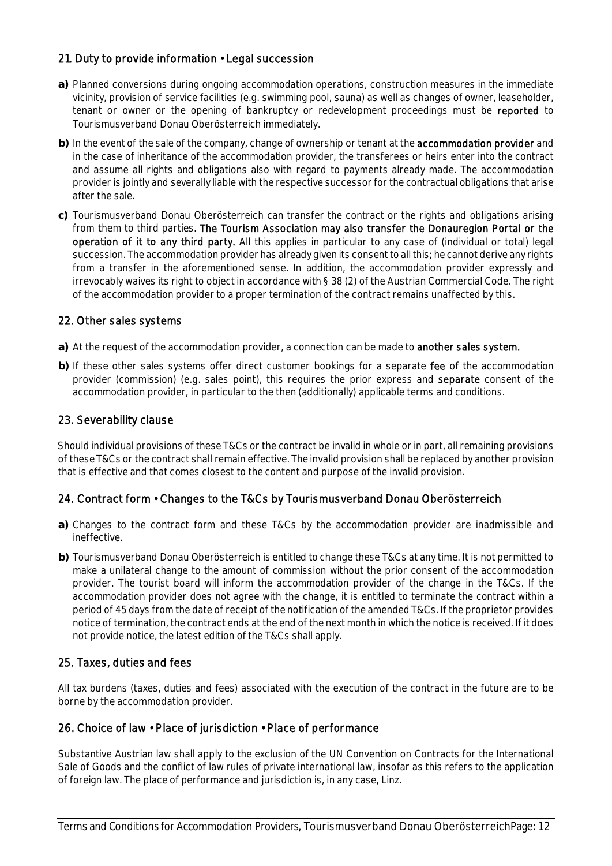## 21. Duty to provide information • Legal succession

- **a)** Planned conversions during ongoing accommodation operations, construction measures in the immediate vicinity, provision of service facilities (e.g. swimming pool, sauna) as well as changes of owner, leaseholder, tenant or owner or the opening of bankruptcy or redevelopment proceedings must be reported to Tourismusverband Donau Oberösterreich immediately.
- **b)** In the event of the sale of the company, change of ownership or tenant at the accommodation provider and in the case of inheritance of the accommodation provider, the transferees or heirs enter into the contract and assume all rights and obligations also with regard to payments already made. The accommodation provider is jointly and severally liable with the respective successor for the contractual obligations that arise after the sale.
- **c)** Tourismusverband Donau Oberösterreich can transfer the contract or the rights and obligations arising from them to third parties. The Tourism Association may also transfer the Donauregion Portal or the operation of it to any third party. All this applies in particular to any case of (individual or total) legal succession. The accommodation provider has already given its consent to all this; he cannot derive any rights from a transfer in the aforementioned sense. In addition, the accommodation provider expressly and irrevocably waives its right to object in accordance with § 38 (2) of the Austrian Commercial Code. The right of the accommodation provider to a proper termination of the contract remains unaffected by this.

#### 22. Other sales systems

- **a)** At the request of the accommodation provider, a connection can be made to another sales system.
- **b)** If these other sales systems offer direct customer bookings for a separate fee of the accommodation provider (commission) (e.g. sales point), this requires the prior express and **separate** consent of the accommodation provider, in particular to the then (additionally) applicable terms and conditions.

#### 23. Severability clause

Should individual provisions of these T&Cs or the contract be invalid in whole or in part, all remaining provisions of these T&Cs or the contract shall remain effective. The invalid provision shall be replaced by another provision that is effective and that comes closest to the content and purpose of the invalid provision.

## 24. Contract form • Changes to the T&Cs by Tourismusverband Donau Oberösterreich

- **a)** Changes to the contract form and these T&Cs by the accommodation provider are inadmissible and ineffective.
- **b)** Tourismusverband Donau Oberösterreich is entitled to change these T&Cs at any time. It is not permitted to make a unilateral change to the amount of commission without the prior consent of the accommodation provider. The tourist board will inform the accommodation provider of the change in the T&Cs. If the accommodation provider does not agree with the change, it is entitled to terminate the contract within a period of 45 days from the date of receipt of the notification of the amended T&Cs. If the proprietor provides notice of termination, the contract ends at the end of the next month in which the notice is received. If it does not provide notice, the latest edition of the T&Cs shall apply.

#### 25. Taxes, duties and fees

All tax burdens (taxes, duties and fees) associated with the execution of the contract in the future are to be borne by the accommodation provider.

#### 26. Choice of law • Place of jurisdiction • Place of performance

Substantive Austrian law shall apply to the exclusion of the UN Convention on Contracts for the International Sale of Goods and the conflict of law rules of private international law, insofar as this refers to the application of foreign law. The place of performance and jurisdiction is, in any case, Linz.